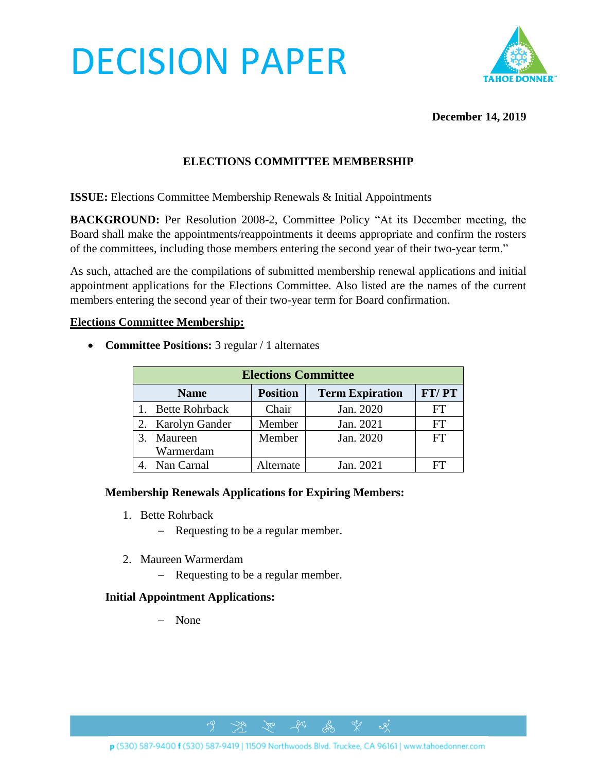# DECISION PAPER



## **December 14, 2019**

# **ELECTIONS COMMITTEE MEMBERSHIP**

**ISSUE:** Elections Committee Membership Renewals & Initial Appointments

**BACKGROUND:** Per Resolution 2008-2, Committee Policy "At its December meeting, the Board shall make the appointments/reappointments it deems appropriate and confirm the rosters of the committees, including those members entering the second year of their two-year term."

As such, attached are the compilations of submitted membership renewal applications and initial appointment applications for the Elections Committee. Also listed are the names of the current members entering the second year of their two-year term for Board confirmation.

#### **Elections Committee Membership:**

• **Committee Positions:** 3 regular / 1 alternates

| <b>Elections Committee</b> |                         |                 |                        |           |
|----------------------------|-------------------------|-----------------|------------------------|-----------|
|                            | <b>Name</b>             | <b>Position</b> | <b>Term Expiration</b> | FT/PT     |
|                            | 1. Bette Rohrback       | Chair           | Jan. 2020              | FT        |
|                            | 2. Karolyn Gander       | Member          | Jan. 2021              | FT        |
|                            | 3. Maureen<br>Warmerdam | Member          | Jan. 2020              | <b>FT</b> |
|                            | 4. Nan Carnal           | Alternate       | Jan. 2021              | FТ.       |

#### **Membership Renewals Applications for Expiring Members:**

- 1. Bette Rohrback
	- − Requesting to be a regular member.
- 2. Maureen Warmerdam
	- − Requesting to be a regular member.

# **Initial Appointment Applications:**

− None

p (530) 587-9400 f (530) 587-9419 | 11509 Northwoods Blvd. Truckee, CA 96161 | www.tahoedonner.com

 $281$ 

ക്ക

 $\alpha$ 

 $\gamma_{\rm co}$ 

 $\rightarrow$